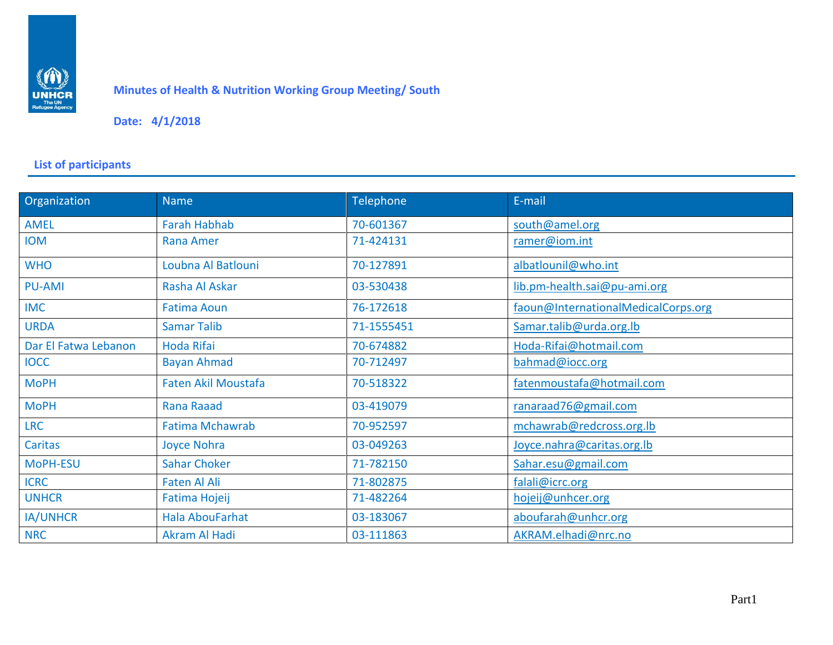

## **Minutes of Health & Nutrition Working Group Meeting/ South**

## **Date: 4/1/2018**

## **List of participants**

| Organization         | <b>Name</b>                | Telephone  | E-mail                              |  |
|----------------------|----------------------------|------------|-------------------------------------|--|
| AMEL                 | <b>Farah Habhab</b>        | 70-601367  | south@amel.org                      |  |
| <b>IOM</b>           | <b>Rana Amer</b>           | 71-424131  | ramer@iom.int                       |  |
| <b>WHO</b>           | Loubna Al Batlouni         | 70-127891  | albatlounil@who.int                 |  |
| <b>PU-AMI</b>        | Rasha Al Askar             | 03-530438  | lib.pm-health.sai@pu-ami.org        |  |
| <b>IMC</b>           | <b>Fatima Aoun</b>         | 76-172618  | faoun@InternationalMedicalCorps.org |  |
| <b>URDA</b>          | <b>Samar Talib</b>         | 71-1555451 | Samar.talib@urda.org.lb             |  |
| Dar El Fatwa Lebanon | <b>Hoda Rifai</b>          | 70-674882  | Hoda-Rifai@hotmail.com              |  |
| <b>IOCC</b>          | <b>Bayan Ahmad</b>         | 70-712497  | bahmad@iocc.org                     |  |
| <b>MoPH</b>          | <b>Faten Akil Moustafa</b> | 70-518322  | fatenmoustafa@hotmail.com           |  |
| <b>MoPH</b>          | Rana Raaad                 | 03-419079  | ranaraad76@gmail.com                |  |
| <b>LRC</b>           | <b>Fatima Mchawrab</b>     | 70-952597  | mchawrab@redcross.org.lb            |  |
| <b>Caritas</b>       | Joyce Nohra                | 03-049263  | Joyce.nahra@caritas.org.lb          |  |
| MoPH-ESU             | <b>Sahar Choker</b>        | 71-782150  | Sahar.esu@gmail.com                 |  |
| <b>ICRC</b>          | <b>Faten Al Ali</b>        | 71-802875  | falali@icrc.org                     |  |
| <b>UNHCR</b>         | Fatima Hojeij              | 71-482264  | hojeij@unhcer.org                   |  |
| <b>IA/UNHCR</b>      | <b>Hala AbouFarhat</b>     | 03-183067  | aboufarah@unhcr.org                 |  |
| <b>NRC</b>           | Akram Al Hadi              | 03-111863  | AKRAM.elhadi@nrc.no                 |  |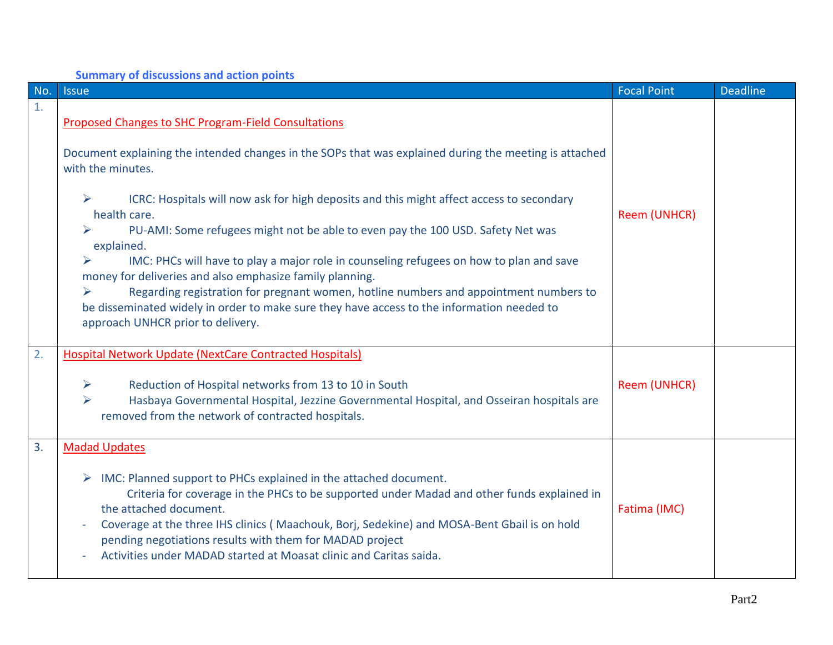| No. | <b>Issue</b>                                                                                                                                                                                                                                                                                                                                                                                                                                                                                                                                                                                      | <b>Focal Point</b>  | <b>Deadline</b> |
|-----|---------------------------------------------------------------------------------------------------------------------------------------------------------------------------------------------------------------------------------------------------------------------------------------------------------------------------------------------------------------------------------------------------------------------------------------------------------------------------------------------------------------------------------------------------------------------------------------------------|---------------------|-----------------|
| 1.  | <b>Proposed Changes to SHC Program-Field Consultations</b><br>Document explaining the intended changes in the SOPs that was explained during the meeting is attached<br>with the minutes.                                                                                                                                                                                                                                                                                                                                                                                                         |                     |                 |
|     | ICRC: Hospitals will now ask for high deposits and this might affect access to secondary<br>➤<br>health care.<br>PU-AMI: Some refugees might not be able to even pay the 100 USD. Safety Net was<br>explained.<br>IMC: PHCs will have to play a major role in counseling refugees on how to plan and save<br>money for deliveries and also emphasize family planning.<br>Regarding registration for pregnant women, hotline numbers and appointment numbers to<br>be disseminated widely in order to make sure they have access to the information needed to<br>approach UNHCR prior to delivery. | Reem (UNHCR)        |                 |
| 2.  | <b>Hospital Network Update (NextCare Contracted Hospitals)</b><br>Reduction of Hospital networks from 13 to 10 in South<br>➤<br>Hasbaya Governmental Hospital, Jezzine Governmental Hospital, and Osseiran hospitals are<br>➤<br>removed from the network of contracted hospitals.                                                                                                                                                                                                                                                                                                                | <b>Reem (UNHCR)</b> |                 |
| 3.  | <b>Madad Updates</b><br>IMC: Planned support to PHCs explained in the attached document.<br>Criteria for coverage in the PHCs to be supported under Madad and other funds explained in<br>the attached document.<br>Coverage at the three IHS clinics (Maachouk, Borj, Sedekine) and MOSA-Bent Gbail is on hold<br>pending negotiations results with them for MADAD project<br>Activities under MADAD started at Moasat clinic and Caritas saida.                                                                                                                                                 | Fatima (IMC)        |                 |